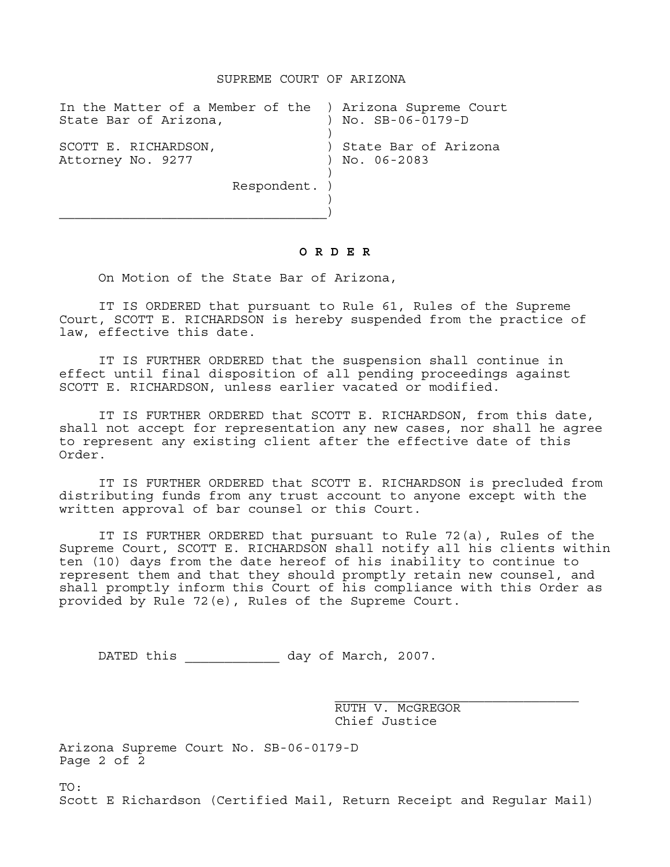## SUPREME COURT OF ARIZONA

| In the Matter of a Member of the ) Arizona Supreme Court<br>State Bar of Arizona, | No. SB-06-0179-D                          |
|-----------------------------------------------------------------------------------|-------------------------------------------|
| SCOTT E. RICHARDSON,<br>Attorney No. 9277                                         | ) State Bar of Arizona<br>$)$ No. 06-2083 |
| Respondent. )                                                                     |                                           |

## **O R D E R**

On Motion of the State Bar of Arizona,

IT IS ORDERED that pursuant to Rule 61, Rules of the Supreme Court, SCOTT E. RICHARDSON is hereby suspended from the practice of law, effective this date.

IT IS FURTHER ORDERED that the suspension shall continue in effect until final disposition of all pending proceedings against SCOTT E. RICHARDSON, unless earlier vacated or modified.

IT IS FURTHER ORDERED that SCOTT E. RICHARDSON, from this date, shall not accept for representation any new cases, nor shall he agree to represent any existing client after the effective date of this Order.

IT IS FURTHER ORDERED that SCOTT E. RICHARDSON is precluded from distributing funds from any trust account to anyone except with the written approval of bar counsel or this Court.

IT IS FURTHER ORDERED that pursuant to Rule 72(a), Rules of the Supreme Court, SCOTT E. RICHARDSON shall notify all his clients within ten (10) days from the date hereof of his inability to continue to represent them and that they should promptly retain new counsel, and shall promptly inform this Court of his compliance with this Order as provided by Rule 72(e), Rules of the Supreme Court.

DATED this  $\qquad \qquad$  day of March, 2007.

 RUTH V. McGREGOR Chief Justice

Arizona Supreme Court No. SB-06-0179-D Page 2 of 2

TO:

Scott E Richardson (Certified Mail, Return Receipt and Regular Mail)